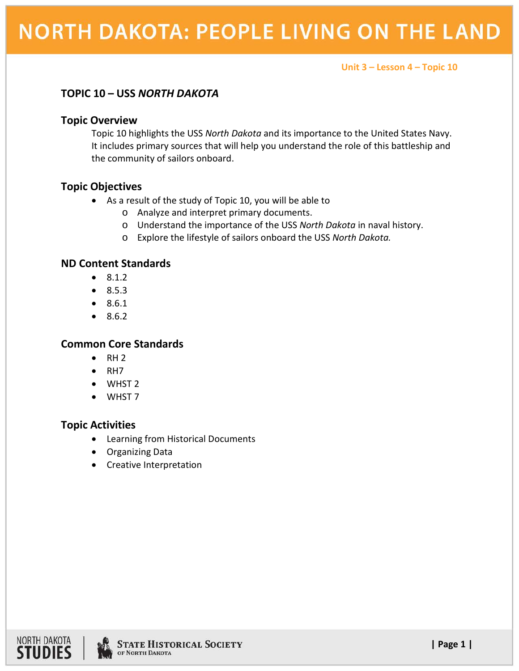**Unit 3 – Lesson 4 – Topic 10**

# **TOPIC 10 – USS** *NORTH DAKOTA*

### **Topic Overview**

Topic 10 highlights the USS *North Dakota* and its importance to the United States Navy. It includes primary sources that will help you understand the role of this battleship and the community of sailors onboard.

## **Topic Objectives**

- As a result of the study of Topic 10, you will be able to
	- o Analyze and interpret primary documents.
	- o Understand the importance of the USS *North Dakota* in naval history.
	- o Explore the lifestyle of sailors onboard the USS *North Dakota.*

### **ND Content Standards**

- 8.1.2
- 8.5.3
- 8.6.1
- 8.6.2

## **Common Core Standards**

- $\bullet$  RH 2
- RH7
- WHST 2
- WHST 7

## **Topic Activities**

- Learning from Historical Documents
- Organizing Data
- Creative Interpretation

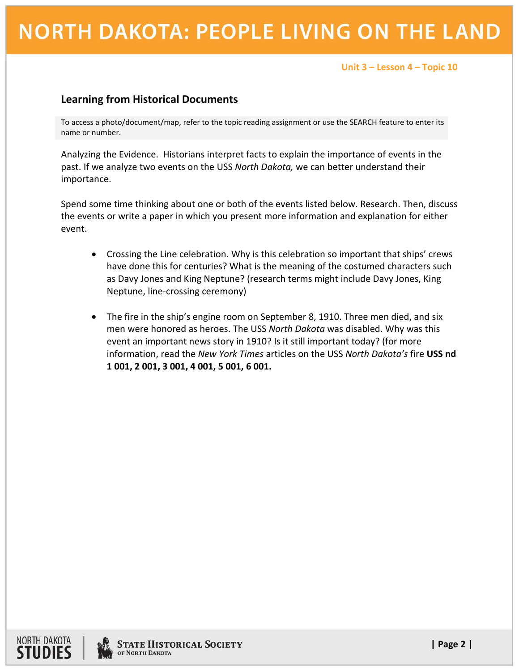# **NORTH DAKOTA: PEOPLE LIVING ON THE LAND**

#### **Unit 3 – Lesson 4 – Topic 10**

# **Learning from Historical Documents**

To access a photo/document/map, refer to the topic reading assignment or use the SEARCH feature to enter its name or number.

Analyzing the Evidence. Historians interpret facts to explain the importance of events in the past. If we analyze two events on the USS *North Dakota,* we can better understand their importance.

Spend some time thinking about one or both of the events listed below. Research. Then, discuss the events or write a paper in which you present more information and explanation for either event.

- Crossing the Line celebration. Why is this celebration so important that ships' crews have done this for centuries? What is the meaning of the costumed characters such as Davy Jones and King Neptune? (research terms might include Davy Jones, King Neptune, line-crossing ceremony)
- The fire in the ship's engine room on September 8, 1910. Three men died, and six men were honored as heroes. The USS *North Dakota* was disabled. Why was this event an important news story in 1910? Is it still important today? (for more information, read the *New York Times* articles on the USS *North Dakota's* fire **USS nd 1 001, 2 001, 3 001, 4 001, 5 001, 6 001.**



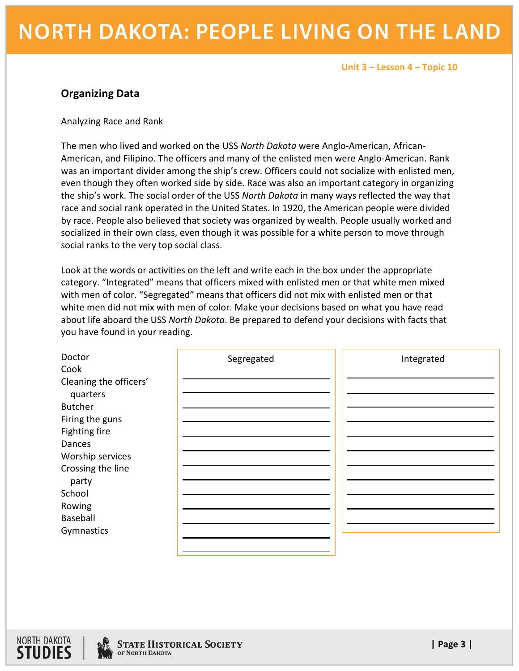#### **Unit 3 – Lesson 4 – Topic 10**

## **Organizing Data**

#### Analyzing Race and Rank

The men who lived and worked on the USS *North Dakota* were Anglo-American, African-American, and Filipino. The officers and many of the enlisted men were Anglo-American. Rank was an important divider among the ship's crew. Officers could not socialize with enlisted men, even though they often worked side by side. Race was also an important category in organizing the ship's work. The social order of the USS *North Dakota* in many ways reflected the way that race and social rank operated in the United States. In 1920, the American people were divided by race. People also believed that society was organized by wealth. People usually worked and socialized in their own class, even though it was possible for a white person to move through social ranks to the very top social class.

Look at the words or activities on the left and write each in the box under the appropriate category. "Integrated" means that officers mixed with enlisted men or that white men mixed with men of color. "Segregated" means that officers did not mix with enlisted men or that white men did not mix with men of color. Make your decisions based on what you have read about life aboard the USS *North Dakota*. Be prepared to defend your decisions with facts that you have found in your reading.

| Doctor<br>Cook         | Segregated | Integrated |
|------------------------|------------|------------|
| Cleaning the officers' |            |            |
| quarters               |            |            |
| <b>Butcher</b>         |            |            |
| Firing the guns        |            |            |
| Fighting fire          |            |            |
| Dances                 |            |            |
| Worship services       |            |            |
| Crossing the line      |            |            |
| party                  |            |            |
| School                 |            |            |
| Rowing                 |            |            |
| Baseball               |            |            |
| Gymnastics             |            |            |
|                        |            |            |



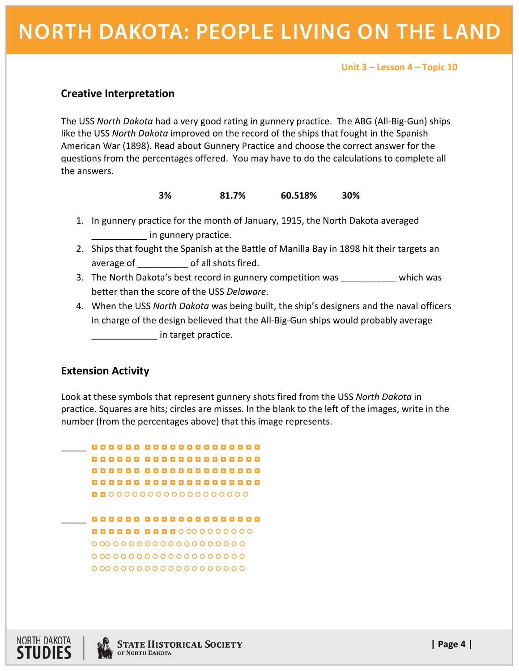# **NORTH DAKOTA: PEOPLE LIVING ON THE LAND**

#### **Unit 3 – Lesson 4 – Topic 10**

### **Creative Interpretation**

The USS *North Dakota* had a very good rating in gunnery practice. The ABG (All-Big-Gun) ships like the USS *North Dakota* improved on the record of the ships that fought in the Spanish American War (1898). Read about Gunnery Practice and choose the correct answer for the questions from the percentages offered. You may have to do the calculations to complete all the answers.

#### **3% 81.7% 60.518% 30%**

- 1. In gunnery practice for the month of January, 1915, the North Dakota averaged in gunnery practice.
- 2. Ships that fought the Spanish at the Battle of Manilla Bay in 1898 hit their targets an average of \_\_\_\_\_\_\_\_\_\_ of all shots fired.
- 3. The North Dakota's best record in gunnery competition was which was better than the score of the USS *Delaware*.
- 4. When the USS *North Dakota* was being built, the ship's designers and the naval officers in charge of the design believed that the All-Big-Gun ships would probably average \_\_\_\_\_\_\_\_\_\_\_\_\_ in target practice.

#### **Extension Activity**

Look at these symbols that represent gunnery shots fired from the USS *North Dakota* in practice. Squares are hits; circles are misses. In the blank to the left of the images, write in the number (from the percentages above) that this image represents.